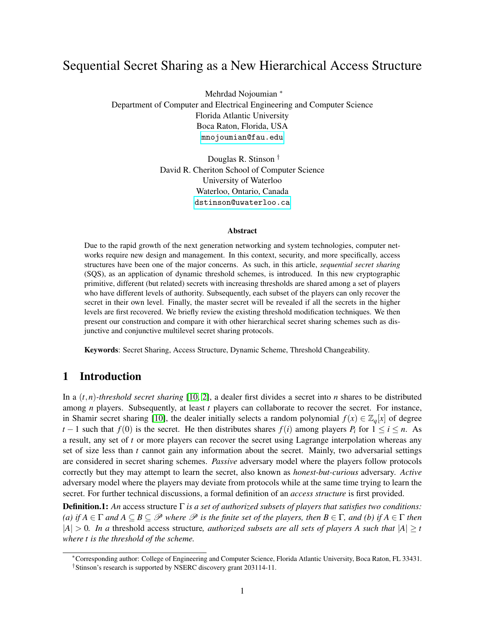# Sequential Secret Sharing as a New Hierarchical Access Structure

Mehrdad Nojoumian <sup>∗</sup> Department of Computer and Electrical Engineering and Computer Science Florida Atlantic University Boca Raton, Florida, USA <mnojoumian@fau.edu>

> Douglas R. Stinson † David R. Cheriton School of Computer Science University of Waterloo Waterloo, Ontario, Canada <dstinson@uwaterloo.ca>

### Abstract

Due to the rapid growth of the next generation networking and system technologies, computer networks require new design and management. In this context, security, and more specifically, access structures have been one of the major concerns. As such, in this article, *sequential secret sharing* (SQS), as an application of dynamic threshold schemes, is introduced. In this new cryptographic primitive, different (but related) secrets with increasing thresholds are shared among a set of players who have different levels of authority. Subsequently, each subset of the players can only recover the secret in their own level. Finally, the master secret will be revealed if all the secrets in the higher levels are first recovered. We briefly review the existing threshold modification techniques. We then present our construction and compare it with other hierarchical secret sharing schemes such as disjunctive and conjunctive multilevel secret sharing protocols.

Keywords: Secret Sharing, Access Structure, Dynamic Scheme, Threshold Changeability.

### 1 Introduction

In a (*t*,*n*)*-threshold secret sharing* [\[10,](#page-7-0) [2\]](#page-7-1), a dealer first divides a secret into *n* shares to be distributed among *n* players. Subsequently, at least *t* players can collaborate to recover the secret. For instance, in Shamir secret sharing [\[10\]](#page-7-0), the dealer initially selects a random polynomial  $f(x) \in \mathbb{Z}_q[x]$  of degree *t* − 1 such that *f*(0) is the secret. He then distributes shares *f*(*i*) among players *P<sub>i</sub>* for  $1 \le i \le n$ . As a result, any set of *t* or more players can recover the secret using Lagrange interpolation whereas any set of size less than *t* cannot gain any information about the secret. Mainly, two adversarial settings are considered in secret sharing schemes. *Passive* adversary model where the players follow protocols correctly but they may attempt to learn the secret, also known as *honest-but-curious* adversary. *Active* adversary model where the players may deviate from protocols while at the same time trying to learn the secret. For further technical discussions, a formal definition of an *access structure* is first provided.

Definition.1: *An* access structure Γ *is a set of authorized subsets of players that satisfies two conditions: (a)* if  $A \in \Gamma$  *and*  $A \subseteq B \subseteq \mathcal{P}$  *where*  $\mathcal{P}$  *is the finite set of the players, then*  $B \in \Gamma$ *, and (b)* if  $A \in \Gamma$  *then*  $|A| > 0$ . In a threshold access structure, *authorized subsets are all sets of players A such that*  $|A| > t$ *where t is the threshold of the scheme.*

<sup>∗</sup>Corresponding author: College of Engineering and Computer Science, Florida Atlantic University, Boca Raton, FL 33431. †Stinson's research is supported by NSERC discovery grant 203114-11.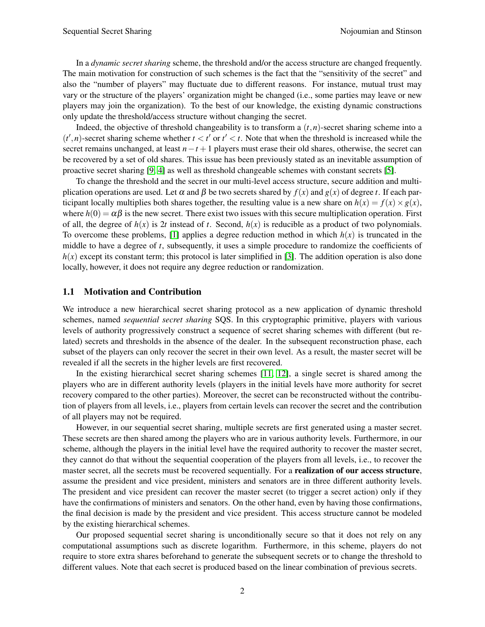In a *dynamic secret sharing* scheme, the threshold and/or the access structure are changed frequently. The main motivation for construction of such schemes is the fact that the "sensitivity of the secret" and also the "number of players" may fluctuate due to different reasons. For instance, mutual trust may vary or the structure of the players' organization might be changed (i.e., some parties may leave or new players may join the organization). To the best of our knowledge, the existing dynamic constructions only update the threshold/access structure without changing the secret.

Indeed, the objective of threshold changeability is to transform a  $(t, n)$ -secret sharing scheme into a  $(t', n)$ -secret sharing scheme whether  $t < t'$  or  $t' < t$ . Note that when the threshold is increased while the secret remains unchanged, at least *n*−*t* +1 players must erase their old shares, otherwise, the secret can be recovered by a set of old shares. This issue has been previously stated as an inevitable assumption of proactive secret sharing [\[9,](#page-7-2) [4\]](#page-7-3) as well as threshold changeable schemes with constant secrets [\[5\]](#page-7-4).

To change the threshold and the secret in our multi-level access structure, secure addition and multiplication operations are used. Let  $\alpha$  and  $\beta$  be two secrets shared by  $f(x)$  and  $g(x)$  of degree *t*. If each participant locally multiplies both shares together, the resulting value is a new share on  $h(x) = f(x) \times g(x)$ , where  $h(0) = \alpha \beta$  is the new secret. There exist two issues with this secure multiplication operation. First of all, the degree of  $h(x)$  is 2*t* instead of *t*. Second,  $h(x)$  is reducible as a product of two polynomials. To overcome these problems, [\[1\]](#page-7-5) applies a degree reduction method in which  $h(x)$  is truncated in the middle to have a degree of *t*, subsequently, it uses a simple procedure to randomize the coefficients of  $h(x)$  except its constant term; this protocol is later simplified in [\[3\]](#page-7-6). The addition operation is also done locally, however, it does not require any degree reduction or randomization.

### 1.1 Motivation and Contribution

We introduce a new hierarchical secret sharing protocol as a new application of dynamic threshold schemes, named *sequential secret sharing* SQS. In this cryptographic primitive, players with various levels of authority progressively construct a sequence of secret sharing schemes with different (but related) secrets and thresholds in the absence of the dealer. In the subsequent reconstruction phase, each subset of the players can only recover the secret in their own level. As a result, the master secret will be revealed if all the secrets in the higher levels are first recovered.

In the existing hierarchical secret sharing schemes [\[11,](#page-7-7) [12\]](#page-7-8), a single secret is shared among the players who are in different authority levels (players in the initial levels have more authority for secret recovery compared to the other parties). Moreover, the secret can be reconstructed without the contribution of players from all levels, i.e., players from certain levels can recover the secret and the contribution of all players may not be required.

However, in our sequential secret sharing, multiple secrets are first generated using a master secret. These secrets are then shared among the players who are in various authority levels. Furthermore, in our scheme, although the players in the initial level have the required authority to recover the master secret, they cannot do that without the sequential cooperation of the players from all levels, i.e., to recover the master secret, all the secrets must be recovered sequentially. For a **realization of our access structure**, assume the president and vice president, ministers and senators are in three different authority levels. The president and vice president can recover the master secret (to trigger a secret action) only if they have the confirmations of ministers and senators. On the other hand, even by having those confirmations, the final decision is made by the president and vice president. This access structure cannot be modeled by the existing hierarchical schemes.

Our proposed sequential secret sharing is unconditionally secure so that it does not rely on any computational assumptions such as discrete logarithm. Furthermore, in this scheme, players do not require to store extra shares beforehand to generate the subsequent secrets or to change the threshold to different values. Note that each secret is produced based on the linear combination of previous secrets.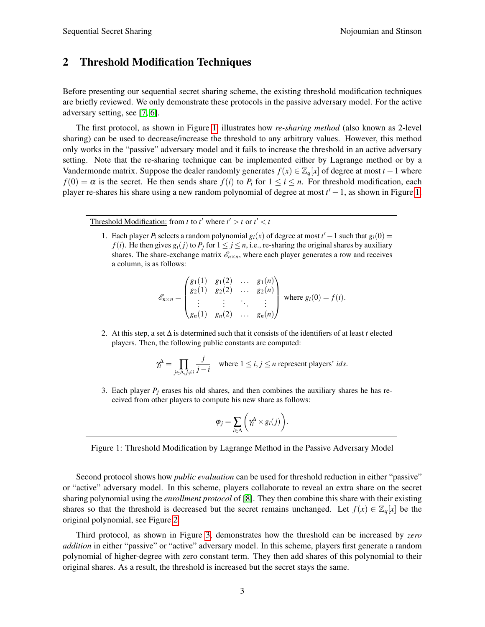## 2 Threshold Modification Techniques

Before presenting our sequential secret sharing scheme, the existing threshold modification techniques are briefly reviewed. We only demonstrate these protocols in the passive adversary model. For the active adversary setting, see [\[7,](#page-7-9) [6\]](#page-7-10).

The first protocol, as shown in Figure [1,](#page-2-0) illustrates how *re-sharing method* (also known as 2-level sharing) can be used to decrease/increase the threshold to any arbitrary values. However, this method only works in the "passive" adversary model and it fails to increase the threshold in an active adversary setting. Note that the re-sharing technique can be implemented either by Lagrange method or by a Vandermonde matrix. Suppose the dealer randomly generates  $f(x) \in \mathbb{Z}_q[x]$  of degree at most  $t - 1$  where  $f(0) = \alpha$  is the secret. He then sends share  $f(i)$  to  $P_i$  for  $1 \le i \le n$ . For threshold modification, each player re-shares his share using a new random polynomial of degree at most  $t' - 1$ , as shown in Figure [1.](#page-2-0)

Threshold Modification: from *t* to *t'* where  $t' > t$  or  $t' < t$ 

1. Each player  $P_i$  selects a random polynomial  $g_i(x)$  of degree at most  $t' - 1$  such that  $g_i(0) =$ *f*(*i*). He then gives  $g_i(j)$  to  $P_j$  for  $1 \leq j \leq n$ , i.e., re-sharing the original shares by auxiliary shares. The share-exchange matrix  $\mathcal{E}_{n \times n}$ , where each player generates a row and receives a column, is as follows:

$$
\mathscr{E}_{n\times n} = \begin{pmatrix} g_1(1) & g_1(2) & \dots & g_1(n) \\ g_2(1) & g_2(2) & \dots & g_2(n) \\ \vdots & \vdots & \ddots & \vdots \\ g_n(1) & g_n(2) & \dots & g_n(n) \end{pmatrix} \text{ where } g_i(0) = f(i).
$$

2. At this step, a set ∆ is determined such that it consists of the identifiers of at least *t* elected players. Then, the following public constants are computed:

$$
\gamma_i^{\Delta} = \prod_{j \in \Delta, j \neq i} \frac{j}{j - i}
$$
 where  $1 \le i, j \le n$  represent players' *ids*.

3. Each player  $P_i$  erases his old shares, and then combines the auxiliary shares he has received from other players to compute his new share as follows:

$$
\varphi_j = \sum_{i \in \Delta} \left( \gamma_i^{\Delta} \times g_i(j) \right)
$$

<span id="page-2-0"></span>.

Figure 1: Threshold Modification by Lagrange Method in the Passive Adversary Model

Second protocol shows how *public evaluation* can be used for threshold reduction in either "passive" or "active" adversary model. In this scheme, players collaborate to reveal an extra share on the secret sharing polynomial using the *enrollment protocol* of [\[8\]](#page-7-11). They then combine this share with their existing shares so that the threshold is decreased but the secret remains unchanged. Let  $f(x) \in \mathbb{Z}_q[x]$  be the original polynomial, see Figure [2.](#page-3-0)

Third protocol, as shown in Figure [3,](#page-3-1) demonstrates how the threshold can be increased by *zero addition* in either "passive" or "active" adversary model. In this scheme, players first generate a random polynomial of higher-degree with zero constant term. They then add shares of this polynomial to their original shares. As a result, the threshold is increased but the secret stays the same.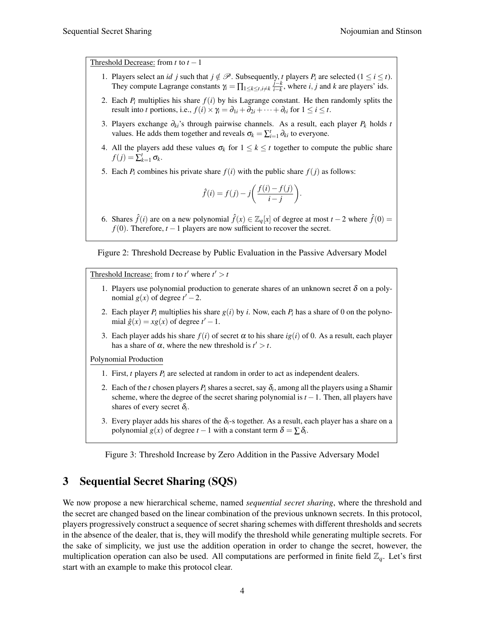Threshold Decrease: from  $t$  to  $t-1$ 

- 1. Players select an *id j* such that  $j \notin \mathcal{P}$ . Subsequently, *t* players  $P_i$  are selected  $(1 \le i \le t)$ . They compute Lagrange constants  $\gamma_i = \prod_{1 \leq k \leq t, i \neq k} \frac{j-k}{i-k}$  $\frac{j-k}{i-k}$ , where *i*, *j* and *k* are players' ids.
- 2. Each  $P_i$  multiplies his share  $f(i)$  by his Lagrange constant. He then randomly splits the result into *t* portions, i.e.,  $f(i) \times \gamma_i = \partial_{1i} + \partial_{2i} + \cdots + \partial_{ti}$  for  $1 \le i \le t$ .
- 3. Players exchange ∂*ki*'s through pairwise channels. As a result, each player *P<sup>k</sup>* holds *t* values. He adds them together and reveals  $\sigma_k = \sum_{i=1}^t \partial_{ki}$  to everyone.
- 4. All the players add these values  $\sigma_k$  for  $1 \leq k \leq t$  together to compute the public share  $f(j) = \sum_{k=1}^t \sigma_k$ .
- 5. Each  $P_i$  combines his private share  $f(i)$  with the public share  $f(j)$  as follows:

<span id="page-3-1"></span><span id="page-3-0"></span>
$$
\hat{f}(i) = f(j) - j\left(\frac{f(i) - f(j)}{i - j}\right).
$$

6. Shares  $\hat{f}(i)$  are on a new polynomial  $\hat{f}(x) \in \mathbb{Z}_q[x]$  of degree at most  $t - 2$  where  $\hat{f}(0) =$  $f(0)$ . Therefore,  $t - 1$  players are now sufficient to recover the secret.

Figure 2: Threshold Decrease by Public Evaluation in the Passive Adversary Model

Threshold Increase: from *t* to *t'* where  $t' > t$ 

- 1. Players use polynomial production to generate shares of an unknown secret  $\delta$  on a polynomial  $g(x)$  of degree  $t' - 2$ .
- 2. Each player  $P_i$  multiplies his share  $g(i)$  by *i*. Now, each  $P_i$  has a share of 0 on the polynomial  $\hat{g}(x) = xg(x)$  of degree  $t' - 1$ .
- 3. Each player adds his share  $f(i)$  of secret  $\alpha$  to his share *ig*(*i*) of 0. As a result, each player has a share of  $\alpha$ , where the new threshold is  $t' > t$ .

Polynomial Production

- 1. First, *t* players *P<sup>i</sup>* are selected at random in order to act as independent dealers.
- 2. Each of the *t* chosen players  $P_i$  shares a secret, say  $\delta_i$ , among all the players using a Shamir scheme, where the degree of the secret sharing polynomial is  $t - 1$ . Then, all players have shares of every secret  $\delta_i$ .
- 3. Every player adds his shares of the  $\delta_i$ -s together. As a result, each player has a share on a polynomial  $g(x)$  of degree  $t-1$  with a constant term  $\delta = \sum \delta_i$ .

Figure 3: Threshold Increase by Zero Addition in the Passive Adversary Model

## 3 Sequential Secret Sharing (SQS)

We now propose a new hierarchical scheme, named *sequential secret sharing*, where the threshold and the secret are changed based on the linear combination of the previous unknown secrets. In this protocol, players progressively construct a sequence of secret sharing schemes with different thresholds and secrets in the absence of the dealer, that is, they will modify the threshold while generating multiple secrets. For the sake of simplicity, we just use the addition operation in order to change the secret, however, the multiplication operation can also be used. All computations are performed in finite field  $\mathbb{Z}_q$ . Let's first start with an example to make this protocol clear.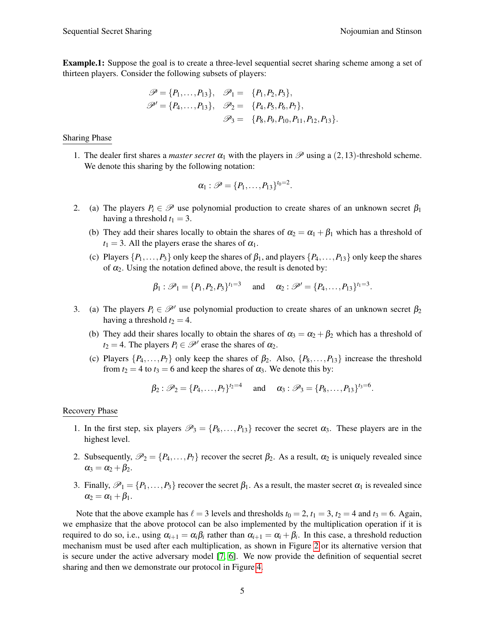Example.1: Suppose the goal is to create a three-level sequential secret sharing scheme among a set of thirteen players. Consider the following subsets of players:

$$
\mathscr{P} = \{P_1, \ldots, P_{13}\}, \quad \mathscr{P}_1 = \{P_1, P_2, P_3\}, \n\mathscr{P}' = \{P_4, \ldots, P_{13}\}, \quad \mathscr{P}_2 = \{P_4, P_5, P_6, P_7\}, \n\mathscr{P}_3 = \{P_8, P_9, P_{10}, P_{11}, P_{12}, P_{13}\}.
$$

### Sharing Phase

1. The dealer first shares a *master secret*  $\alpha_1$  with the players in  $\mathscr P$  using a (2,13)-threshold scheme. We denote this sharing by the following notation:

$$
\alpha_1: \mathscr{P} = \{P_1, \ldots, P_{13}\}^{t_0=2}.
$$

- 2. (a) The players  $P_i \in \mathcal{P}$  use polynomial production to create shares of an unknown secret  $\beta_1$ having a threshold  $t_1 = 3$ .
	- (b) They add their shares locally to obtain the shares of  $\alpha_2 = \alpha_1 + \beta_1$  which has a threshold of  $t_1 = 3$ . All the players erase the shares of  $\alpha_1$ .
	- (c) Players  $\{P_1, \ldots, P_3\}$  only keep the shares of  $\beta_1$ , and players  $\{P_4, \ldots, P_{13}\}$  only keep the shares of  $\alpha_2$ . Using the notation defined above, the result is denoted by:

$$
\beta_1 : \mathscr{P}_1 = \{P_1, P_2, P_3\}^{t_1 = 3}
$$
 and  $\alpha_2 : \mathscr{P}' = \{P_4, ..., P_{13}\}^{t_1 = 3}$ .

- 3. (a) The players  $P_i \in \mathcal{P}'$  use polynomial production to create shares of an unknown secret  $\beta_2$ having a threshold  $t_2 = 4$ .
	- (b) They add their shares locally to obtain the shares of  $\alpha_3 = \alpha_2 + \beta_2$  which has a threshold of  $t_2 = 4$ . The players  $P_i \in \mathcal{P}'$  erase the shares of  $\alpha_2$ .
	- (c) Players  $\{P_4, \ldots, P_7\}$  only keep the shares of  $\beta_2$ . Also,  $\{P_8, \ldots, P_{13}\}$  increase the threshold from  $t_2 = 4$  to  $t_3 = 6$  and keep the shares of  $\alpha_3$ . We denote this by:

$$
\beta_2: \mathscr{P}_2 = \{P_4, \ldots, P_7\}^{t_2=4}
$$
 and  $\alpha_3: \mathscr{P}_3 = \{P_8, \ldots, P_{13}\}^{t_3=6}$ .

### Recovery Phase

- 1. In the first step, six players  $\mathcal{P}_3 = \{P_8, \ldots, P_{13}\}$  recover the secret  $\alpha_3$ . These players are in the highest level.
- 2. Subsequently,  $\mathcal{P}_2 = \{P_4, \ldots, P_7\}$  recover the secret  $\beta_2$ . As a result,  $\alpha_2$  is uniquely revealed since  $\alpha_3 = \alpha_2 + \beta_2$ .
- 3. Finally,  $\mathscr{P}_1 = \{P_1, \ldots, P_3\}$  recover the secret  $\beta_1$ . As a result, the master secret  $\alpha_1$  is revealed since  $\alpha_2 = \alpha_1 + \beta_1$ .

Note that the above example has  $\ell = 3$  levels and thresholds  $t_0 = 2$ ,  $t_1 = 3$ ,  $t_2 = 4$  and  $t_3 = 6$ . Again, we emphasize that the above protocol can be also implemented by the multiplication operation if it is required to do so, i.e., using  $\alpha_{i+1} = \alpha_i \beta_i$  rather than  $\alpha_{i+1} = \alpha_i + \beta_i$ . In this case, a threshold reduction mechanism must be used after each multiplication, as shown in Figure [2](#page-3-0) or its alternative version that is secure under the active adversary model [\[7,](#page-7-9) [6\]](#page-7-10). We now provide the definition of sequential secret sharing and then we demonstrate our protocol in Figure [4.](#page-5-0)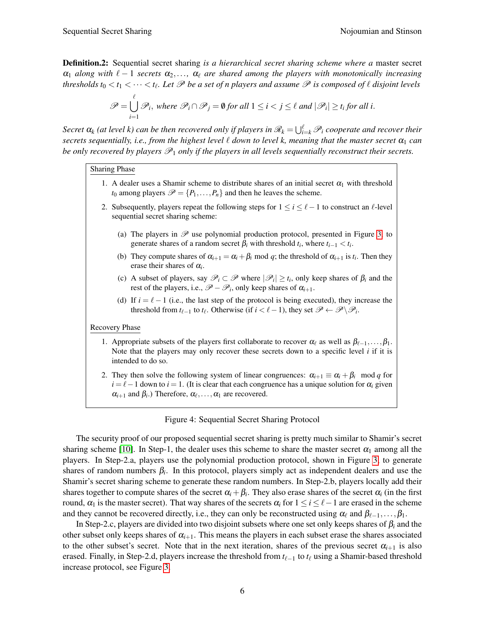Definition.2: Sequential secret sharing *is a hierarchical secret sharing scheme where a* master secret  $\alpha_1$  *along with*  $\ell - 1$  *secrets*  $\alpha_2, \ldots, \alpha_\ell$  *are shared among the players with monotonically increasing thresholds t*<sub>0</sub>  $<$  *t*<sub>1</sub>  $<$   $\cdots$   $<$  *t*<sub>l</sub>. Let  $\mathscr P$  be a set of n players and assume  $\mathscr P$  is composed of  $\ell$  disjoint levels

$$
\mathscr{P} = \bigcup_{i=1}^{\ell} \mathscr{P}_i, \text{ where } \mathscr{P}_i \cap \mathscr{P}_j = \emptyset \text{ for all } 1 \leq i < j \leq \ell \text{ and } |\mathscr{P}_i| \geq t_i \text{ for all } i.
$$

 $S$ ecret  $\alpha_k$  (at level k) can be then recovered only if players in  $\mathscr{R}_k = \bigcup_{i=k}^\ell \mathscr{P}_i$  cooperate and recover their *secrets sequentially, i.e., from the highest level*  $\ell$  *down to level k, meaning that the master secret*  $\alpha_1$  *can be only recovered by players*  $\mathcal{P}_1$  *only if the players in all levels sequentially reconstruct their secrets.* 

#### Sharing Phase

- 1. A dealer uses a Shamir scheme to distribute shares of an initial secret  $\alpha_1$  with threshold  $t_0$  among players  $\mathcal{P} = \{P_1, \ldots, P_n\}$  and then he leaves the scheme.
- 2. Subsequently, players repeat the following steps for  $1 \le i \le \ell 1$  to construct an  $\ell$ -level sequential secret sharing scheme:
	- (a) The players in  $\mathscr P$  use polynomial production protocol, presented in Figure [3,](#page-3-1) to generate shares of a random secret  $\beta_i$  with threshold  $t_i$ , where  $t_{i-1} < t_i$ .
	- (b) They compute shares of  $\alpha_{i+1} = \alpha_i + \beta_i \text{ mod } q$ ; the threshold of  $\alpha_{i+1}$  is  $t_i$ . Then they erase their shares of  $\alpha_i$ .
	- (c) A subset of players, say  $\mathscr{P}_i \subset \mathscr{P}$  where  $|\mathscr{P}_i| \ge t_i$ , only keep shares of  $\beta_i$  and the rest of the players, i.e.,  $\mathscr{P} - \mathscr{P}_i$ , only keep shares of  $\alpha_{i+1}$ .
	- (d) If  $i = \ell 1$  (i.e., the last step of the protocol is being executed), they increase the threshold from  $t_{\ell-1}$  to  $t_{\ell}$ . Otherwise (if  $i < \ell-1$ ), they set  $\mathscr{P} \leftarrow \mathscr{P} \backslash \mathscr{P}_i$ .

#### Recovery Phase

- 1. Appropriate subsets of the players first collaborate to recover  $\alpha_\ell$  as well as  $\beta_{\ell-1},\ldots,\beta_1$ . Note that the players may only recover these secrets down to a specific level *i* if it is intended to do so.
- 2. They then solve the following system of linear congruences:  $\alpha_{i+1} \equiv \alpha_i + \beta_i \mod q$  for  $i = \ell - 1$  down to  $i = 1$ . (It is clear that each congruence has a unique solution for  $\alpha_i$  given  $\alpha_{i+1}$  and  $\beta_i$ .) Therefore,  $\alpha_\ell, \ldots, \alpha_1$  are recovered.

### <span id="page-5-0"></span>Figure 4: Sequential Secret Sharing Protocol

The security proof of our proposed sequential secret sharing is pretty much similar to Shamir's secret sharing scheme [\[10\]](#page-7-0). In Step-1, the dealer uses this scheme to share the master secret  $\alpha_1$  among all the players. In Step-2.a, players use the polynomial production protocol, shown in Figure [3,](#page-3-1) to generate shares of random numbers  $\beta_i$ . In this protocol, players simply act as independent dealers and use the Shamir's secret sharing scheme to generate these random numbers. In Step-2.b, players locally add their shares together to compute shares of the secret  $\alpha_i+\beta_i.$  They also erase shares of the secret  $\alpha_i$  (in the first round,  $\alpha_1$  is the master secret). That way shares of the secrets  $\alpha_i$  for  $1 \le i \le \ell-1$  are erased in the scheme and they cannot be recovered directly, i.e., they can only be reconstructed using  $\alpha_\ell$  and  $\beta_{\ell-1},\ldots,\beta_1$ .

In Step-2.c, players are divided into two disjoint subsets where one set only keeps shares of  $\beta_i$  and the other subset only keeps shares of  $\alpha_{i+1}$ . This means the players in each subset erase the shares associated to the other subset's secret. Note that in the next iteration, shares of the previous secret  $\alpha_{i+1}$  is also erased. Finally, in Step-2.d, players increase the threshold from  $t_{\ell-1}$  to  $t_{\ell}$  using a Shamir-based threshold increase protocol, see Figure [3.](#page-3-1)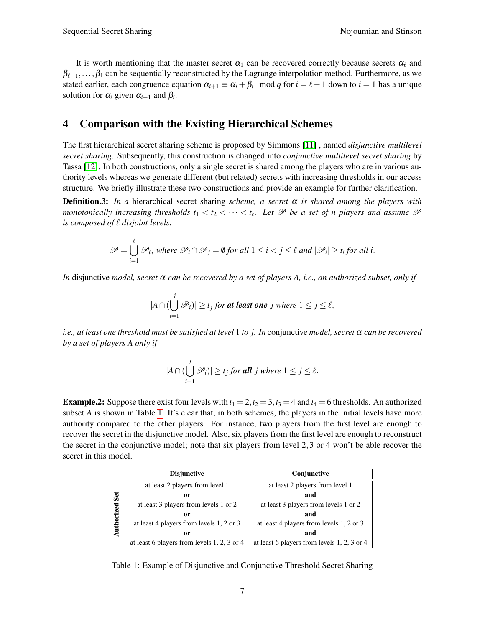It is worth mentioning that the master secret  $\alpha_1$  can be recovered correctly because secrets  $\alpha_\ell$  and  $\beta_{\ell-1},\ldots,\beta_1$  can be sequentially reconstructed by the Lagrange interpolation method. Furthermore, as we stated earlier, each congruence equation  $\alpha_{i+1} \equiv \alpha_i + \beta_i \mod q$  for  $i = \ell - 1$  down to  $i = 1$  has a unique solution for  $\alpha_i$  given  $\alpha_{i+1}$  and  $\beta_i$ .

### 4 Comparison with the Existing Hierarchical Schemes

The first hierarchical secret sharing scheme is proposed by Simmons [\[11\]](#page-7-7) , named *disjunctive multilevel secret sharing*. Subsequently, this construction is changed into *conjunctive multilevel secret sharing* by Tassa [\[12\]](#page-7-8). In both constructions, only a single secret is shared among the players who are in various authority levels whereas we generate different (but related) secrets with increasing thresholds in our access structure. We briefly illustrate these two constructions and provide an example for further clarification.

**Definition.3:** In a hierarchical secret sharing *scheme, a secret*  $\alpha$  *is shared among the players with monotonically increasing thresholds*  $t_1 < t_2 < \cdots < t_\ell$ . Let  $\mathscr P$  be a set of n players and assume  $\mathscr P$ *is composed of*  $\ell$  *disjoint levels:* 

$$
\mathscr{P} = \bigcup_{i=1}^{\ell} \mathscr{P}_i, \text{ where } \mathscr{P}_i \cap \mathscr{P}_j = \emptyset \text{ for all } 1 \leq i < j \leq \ell \text{ and } |\mathscr{P}_i| \geq t_i \text{ for all } i.
$$

*In* disjunctive *model, secret*  $\alpha$  *can be recovered by a set of players A, i.e., an authorized subset, only if* 

$$
|A \cap (\bigcup_{i=1}^j \mathscr{P}_i)| \ge t_j \text{ for at least one } j \text{ where } 1 \le j \le \ell,
$$

*i.e., at least one threshold must be satisfied at level* 1 *to j. In* conjunctive *model, secret* α *can be recovered by a set of players A only if*

<span id="page-6-0"></span>
$$
|A \cap (\bigcup_{i=1}^j \mathscr{P}_i)| \ge t_j \text{ for all } j \text{ where } 1 \le j \le \ell.
$$

**Example.2:** Suppose there exist four levels with  $t_1 = 2$ ,  $t_2 = 3$ ,  $t_3 = 4$  and  $t_4 = 6$  thresholds. An authorized subset *A* is shown in Table [1.](#page-6-0) It's clear that, in both schemes, the players in the initial levels have more authority compared to the other players. For instance, two players from the first level are enough to recover the secret in the disjunctive model. Also, six players from the first level are enough to reconstruct the secret in the conjunctive model; note that six players from level 2,3 or 4 won't be able recover the secret in this model.

|                   | <b>Disjunctive</b>                          | Conjunctive                                 |
|-------------------|---------------------------------------------|---------------------------------------------|
| Set<br>Authorized | at least 2 players from level 1             | at least 2 players from level 1             |
|                   | or                                          | and                                         |
|                   | at least 3 players from levels 1 or 2       | at least 3 players from levels 1 or 2       |
|                   | or                                          | and                                         |
|                   | at least 4 players from levels 1, 2 or 3    | at least 4 players from levels 1, 2 or 3    |
|                   | 0r                                          | and                                         |
|                   | at least 6 players from levels 1, 2, 3 or 4 | at least 6 players from levels 1, 2, 3 or 4 |

Table 1: Example of Disjunctive and Conjunctive Threshold Secret Sharing